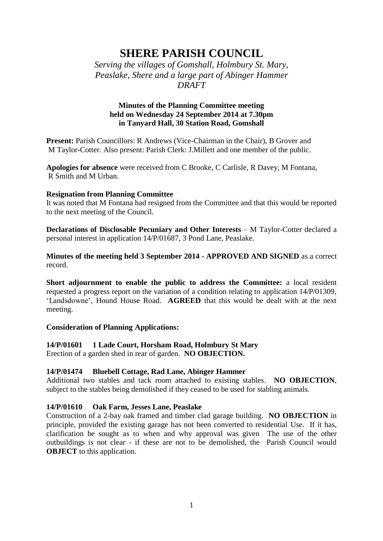# **SHERE PARISH COUNCIL**

*Serving the villages of Gomshall, Holmbury St. Mary, Peaslake, Shere and a large part of Abinger Hammer DRAFT*

# **Minutes of the Planning Committee meeting held on Wednesday 24 September 2014 at 7.30pm in Tanyard Hall, 30 Station Road, Gomshall**

**Present:** Parish Councillors: R Andrews (Vice-Chairman in the Chair), B Grover and M Taylor-Cotter. Also present: Parish Clerk: J.Millett and one member of the public.

**Apologies for absence** were received from C Brooke, C Carlisle, R Davey, M Fontana, R Smith and M Urban.

# **Resignation from Planning Committee**

It was noted that M Fontana had resigned from the Committee and that this would be reported to the next meeting of the Council.

**Declarations of Disclosable Pecuniary and Other Interests – M Taylor-Cotter declared a** personal interest in application 14/P/01687, 3 Pond Lane, Peaslake.

**Minutes of the meeting held 3 September 2014 - APPROVED AND SIGNED** as a correct record.

**Short adjournment to enable the public to address the Committee:** a local resident requested a progress report on the variation of a condition relating to application 14/P/01309, 'Landsdowne', Hound House Road. **AGREED** that this would be dealt with at the next meeting.

# **Consideration of Planning Applications:**

# **14/P/01601 1 Lade Court, Horsham Road, Holmbury St Mary**

Erection of a garden shed in rear of garden. **NO OBJECTION.**

# **14/P/01474 Bluebell Cottage, Rad Lane, Abinger Hammer**

Additional two stables and tack room attached to existing stables. **NO OBJECTION**, subject to the stables being demolished if they ceased to be used for stabling animals.

# **14/P/01610 Oak Farm, Jesses Lane, Peaslake**

Construction of a 2-bay oak framed and timber clad garage building. **NO OBJECTION** in principle, provided the existing garage has not been converted to residential Use. If it has, clarification be sought as to when and why approval was given The use of the other outbuildings is not clear - if these are not to be demolished, the Parish Council would **OBJECT** to this application.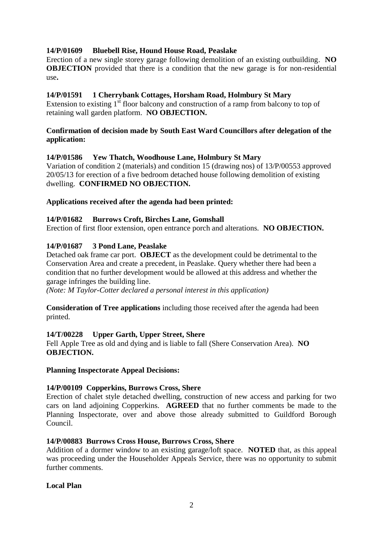# **14/P/01609 Bluebell Rise, Hound House Road, Peaslake**

Erection of a new single storey garage following demolition of an existing outbuilding. **NO OBJECTION** provided that there is a condition that the new garage is for non-residential use**.**

# **14/P/01591 1 Cherrybank Cottages, Horsham Road, Holmbury St Mary**

Extension to existing  $1<sup>st</sup>$  floor balcony and construction of a ramp from balcony to top of retaining wall garden platform. **NO OBJECTION.**

# **Confirmation of decision made by South East Ward Councillors after delegation of the application:**

# **14/P/01586 Yew Thatch, Woodhouse Lane, Holmbury St Mary**

Variation of condition 2 (materials) and condition 15 (drawing nos) of 13/P/00553 approved 20/05/13 for erection of a five bedroom detached house following demolition of existing dwelling. **CONFIRMED NO OBJECTION.**

# **Applications received after the agenda had been printed:**

# **14/P/01682 Burrows Croft, Birches Lane, Gomshall**

Erection of first floor extension, open entrance porch and alterations. **NO OBJECTION.**

# **14/P/01687 3 Pond Lane, Peaslake**

Detached oak frame car port. **OBJECT** as the development could be detrimental to the Conservation Area and create a precedent, in Peaslake. Query whether there had been a condition that no further development would be allowed at this address and whether the garage infringes the building line.

*(Note: M Taylor-Cotter declared a personal interest in this application)*

**Consideration of Tree applications** including those received after the agenda had been printed.

# **14/T/00228 Upper Garth, Upper Street, Shere**

Fell Apple Tree as old and dying and is liable to fall (Shere Conservation Area). **NO OBJECTION.**

# **Planning Inspectorate Appeal Decisions:**

# **14/P/00109 Copperkins, Burrows Cross, Shere**

Erection of chalet style detached dwelling, construction of new access and parking for two cars on land adjoining Copperkins. **AGREED** that no further comments be made to the Planning Inspectorate, over and above those already submitted to Guildford Borough Council.

# **14/P/00883 Burrows Cross House, Burrows Cross, Shere**

Addition of a dormer window to an existing garage/loft space. **NOTED** that, as this appeal was proceeding under the Householder Appeals Service, there was no opportunity to submit further comments.

# **Local Plan**